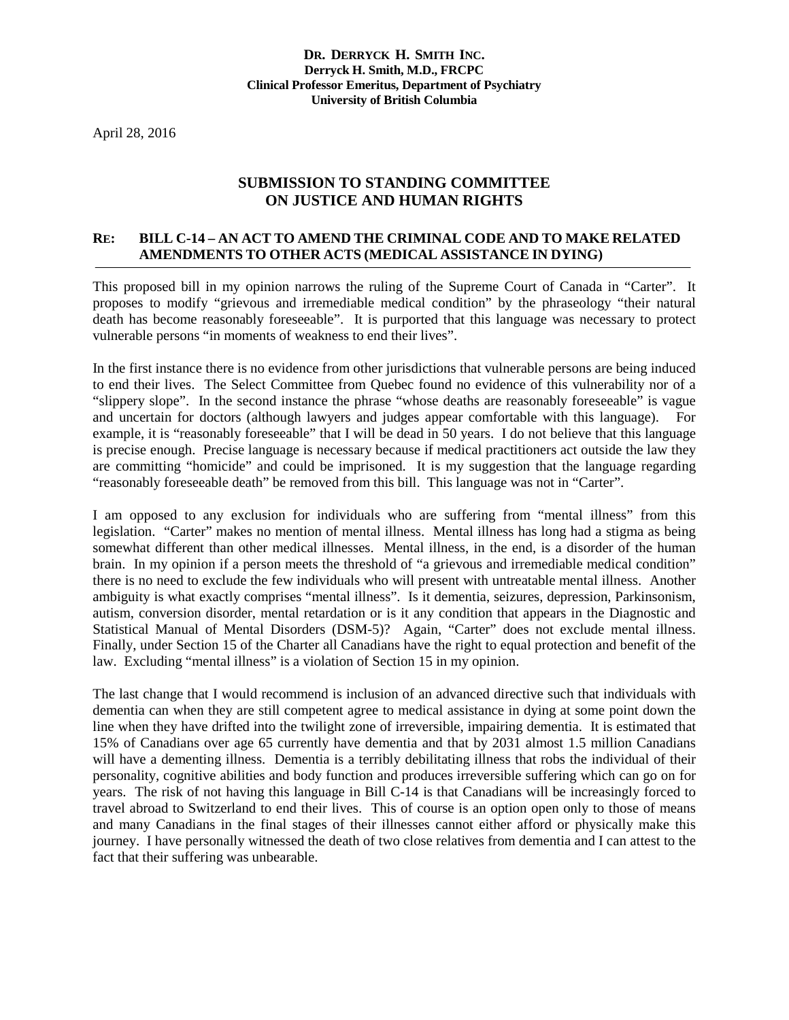April 28, 2016

## **SUBMISSION TO STANDING COMMITTEE ON JUSTICE AND HUMAN RIGHTS**

## **RE: BILL C-14 – AN ACT TO AMEND THE CRIMINAL CODE AND TO MAKE RELATED AMENDMENTS TO OTHER ACTS (MEDICAL ASSISTANCE IN DYING)**

This proposed bill in my opinion narrows the ruling of the Supreme Court of Canada in "Carter". It proposes to modify "grievous and irremediable medical condition" by the phraseology "their natural death has become reasonably foreseeable". It is purported that this language was necessary to protect vulnerable persons "in moments of weakness to end their lives".

In the first instance there is no evidence from other jurisdictions that vulnerable persons are being induced to end their lives. The Select Committee from Quebec found no evidence of this vulnerability nor of a "slippery slope". In the second instance the phrase "whose deaths are reasonably foreseeable" is vague and uncertain for doctors (although lawyers and judges appear comfortable with this language). For example, it is "reasonably foreseeable" that I will be dead in 50 years. I do not believe that this language is precise enough. Precise language is necessary because if medical practitioners act outside the law they are committing "homicide" and could be imprisoned. It is my suggestion that the language regarding "reasonably foreseeable death" be removed from this bill. This language was not in "Carter".

I am opposed to any exclusion for individuals who are suffering from "mental illness" from this legislation. "Carter" makes no mention of mental illness. Mental illness has long had a stigma as being somewhat different than other medical illnesses. Mental illness, in the end, is a disorder of the human brain. In my opinion if a person meets the threshold of "a grievous and irremediable medical condition" there is no need to exclude the few individuals who will present with untreatable mental illness. Another ambiguity is what exactly comprises "mental illness". Is it dementia, seizures, depression, Parkinsonism, autism, conversion disorder, mental retardation or is it any condition that appears in the Diagnostic and Statistical Manual of Mental Disorders (DSM-5)? Again, "Carter" does not exclude mental illness. Finally, under Section 15 of the Charter all Canadians have the right to equal protection and benefit of the law. Excluding "mental illness" is a violation of Section 15 in my opinion.

The last change that I would recommend is inclusion of an advanced directive such that individuals with dementia can when they are still competent agree to medical assistance in dying at some point down the line when they have drifted into the twilight zone of irreversible, impairing dementia. It is estimated that 15% of Canadians over age 65 currently have dementia and that by 2031 almost 1.5 million Canadians will have a dementing illness. Dementia is a terribly debilitating illness that robs the individual of their personality, cognitive abilities and body function and produces irreversible suffering which can go on for years. The risk of not having this language in Bill C-14 is that Canadians will be increasingly forced to travel abroad to Switzerland to end their lives. This of course is an option open only to those of means and many Canadians in the final stages of their illnesses cannot either afford or physically make this journey. I have personally witnessed the death of two close relatives from dementia and I can attest to the fact that their suffering was unbearable.